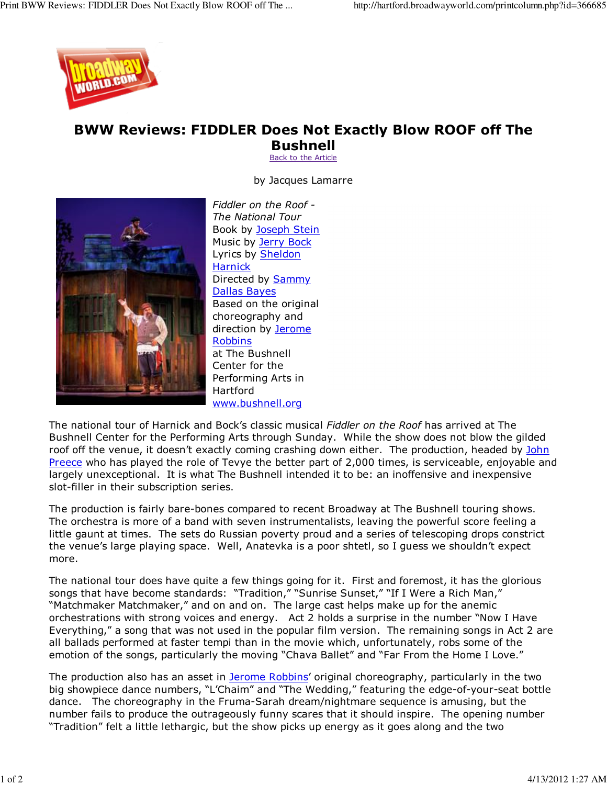

## BWW Reviews: FIDDLER Does Not Exactly Blow ROOF off The

Bushnell Back to the Article

by Jacques Lamarre



Fiddler on the Roof - The National Tour Book by Joseph Stein Music by Jerry Bock Lyrics by Sheldon **Harnick** Directed by Sammy Dallas Bayes Based on the original choreography and direction by Jerome Robbins at The Bushnell Center for the Performing Arts in Hartford www.bushnell.org

The national tour of Harnick and Bock's classic musical Fiddler on the Roof has arrived at The Bushnell Center for the Performing Arts through Sunday. While the show does not blow the gilded roof off the venue, it doesn't exactly coming crashing down either. The production, headed by John Preece who has played the role of Tevye the better part of 2,000 times, is serviceable, enjoyable and largely unexceptional. It is what The Bushnell intended it to be: an inoffensive and inexpensive slot-filler in their subscription series.

The production is fairly bare-bones compared to recent Broadway at The Bushnell touring shows. The orchestra is more of a band with seven instrumentalists, leaving the powerful score feeling a little gaunt at times. The sets do Russian poverty proud and a series of telescoping drops constrict the venue's large playing space. Well, Anatevka is a poor shtetl, so I guess we shouldn't expect more.

The national tour does have quite a few things going for it. First and foremost, it has the glorious songs that have become standards: "Tradition," "Sunrise Sunset," "If I Were a Rich Man," "Matchmaker Matchmaker," and on and on. The large cast helps make up for the anemic orchestrations with strong voices and energy. Act 2 holds a surprise in the number "Now I Have Everything," a song that was not used in the popular film version. The remaining songs in Act 2 are all ballads performed at faster tempi than in the movie which, unfortunately, robs some of the emotion of the songs, particularly the moving "Chava Ballet" and "Far From the Home I Love."

The production also has an asset in Jerome Robbins' original choreography, particularly in the two big showpiece dance numbers, "L'Chaim" and "The Wedding," featuring the edge-of-your-seat bottle dance. The choreography in the Fruma-Sarah dream/nightmare sequence is amusing, but the number fails to produce the outrageously funny scares that it should inspire. The opening number "Tradition" felt a little lethargic, but the show picks up energy as it goes along and the two